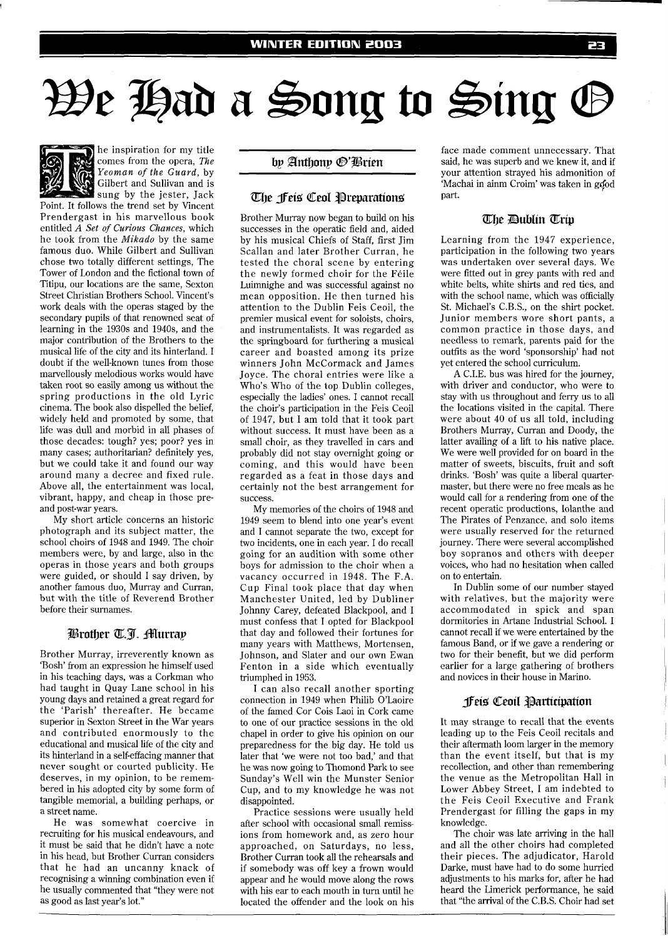# We Had a Song to Sing G



he inspiration for my title comes from the opera, *The*  Yeoman of *the Guard,* by Gilbert and Sullivan and is sung by the jester, Jack

Point. It follows the trend set by Vincent Prendergast in his marvellous book entitled A *Set* of *Curious Chances,* which he took from the *Mikado* by the same famous duo. While Gilbert and Sullivan chose two totally different settings, The Tower of London and the fictional town of Titipu, our locations are the same, Sexton Street Christian Brothers School. Vincent's work deals with the operas staged by the secondary pupils of that renowned seat of learning in the 1930s and 1940s, and the major contribution of the Brothers to the musical life of the city and its hinterland. I doubt if the well-known tunes from those marvellously melodious works would have taken root so easily among us without the spring productions in the old Lyric cinema. The book also dispelled the belief, widely held and promoted by some, that life was dull and morbid in all phases of those decades: tough? yes; poor? yes in many cases; authoritarian? definitely yes, but we could take it and found our way around many a decree and fixed rule. Above all, the entertainment was local, vibrant, happy, and cheap in those preand post-war years.

My short article concerns an historic photograph and its subject matter, the school choirs of 1948 and 1949. The choir members were, by and large, also in the operas in those years and both groups were guided, or should I say driven, by another famous duo, Murray and Curran, but with the title of Reverend Brother before their surnames.

### Brother T.J. Murray

Brother Murray, irreverently known as 'Bosh' from an expression he himself used in his teaching days, was a Corkman who had taught in Quay Lane school in his young days and retained a great regard for the 'Parish' thereafter. He became superior in Sexton Street in the War years and contributed enormously to the educational and musical life of the city and its hinterland in a self-effacing manner that never sought or courted publicity. He deserves, in my opinion, to be remembered in his adopted city by some form of tangible memorial, a building perhaps, or a street name.

He was somewhat coercive in recruiting for his musical endeavours, and it must be said that he didn't have a note in his head, but Brother Curran considers that he had an uncanny knack of recognising a winning combination even if he usually commented that "they were not as good as last year's lot."

by Anthony <sup>®</sup>'Brien

### The feis Ceol Preparations

Brother Murray now began to build on his successes in the operatic field and, aided by his musical Chiefs of Staff, first Jim Scallan and later Brother Curran, he tested the choral scene by entering the newly formed choir for the Feile Luimnighe and was successful against no mean opposition. He then turned his attention to the Dublin Feis Ceoil, the premier musical event for soloists, choirs, and instrumentalists. It was regarded as the springboard for furthering a musical career and boasted among its prize winners John McCormack and James Joyce. The choral entries were like a Who's Who of the top Dublin colleges, especially the ladies' ones. I cannot recall the choir's participation in the Feis Ceoil of 1947, but I am told that it took part without success. It must have been as a small choir, as they travelled in cars and probably did not stay overnight going or coming, and this would have been regarded as a feat in those days and certainly not the best arrangement for success.

My memories of the choirs of 1948 and 1949 seem to blend into one year's event and I cannot separate the two, except for two incidents, one in each year. I do recall going for an audition with some other boys for admission to the choir when a vacancy occurred in 1948. The F.A. Cup Final took place that day when Manchester United, led by Dubliner Johnny Carey, defeated Blackpool, and I must confess that I opted for Blackpool that day and followed their fortunes for many years with Matthews, Mortensen, Johnson, and Slater and our own Ewan Fenton in a side which eventually triumphed in 1953.

I can also recall another sporting connection in 1949 when Philib O'Laoire of the famed Cor Cois Laoi in Cork came to one of our practice sessions in the old chapel in order to give his opinion on our preparedness for the big day. He told us later that 'we were not too bad,' and that he was now going to Thomond Park to see Sunday's Well win the Munster Senior Cup, and to my knowledge he was not disappointed.

Practice sessions were usually held after school with occasional small remissions from homework and, as zero hour approached, on Saturdays, no less, Brother Curran took all the rehearsals and if somebody was off key a frown would appear and he would move along the rows with his ear to each mouth in turn until he located the offender and the look on his face made comment unnecessary. That said, he was superb and we knew it, and if your attention strayed his admonition of 'Machai in ainm Croim' was taken in good part.

## The Dublin Trip

Learning from the 1947 experience, participation in the following two years was undertaken over several days. We were fitted out in grey pants with red and white belts, white shirts and red ties, and with the school name, which was officially St. Michael's C.B.S., on the shirt pocket. Junior members wore short pants, a common practice in those days, and needless to remark, parents paid for the outfits as the word 'sponsorship' had not yet entered the school curriculum.

A C.I.E. bus was hired for the journey, with driver and conductor, who were to stay with us throughout and ferry us to all the locations visited in the capital. There were about 40 of us all told, including Brothers Murray, Curran and Doody, the latter availing of a lift to his native place. We were well provided for on board in the matter of sweets, biscuits, fruit and soft drinks. 'Bosh' was quite a liberal quartermaster, but there were no free meals as he would call for a rendering from one of the recent operatic productions, Iolanthe and The Pirates of Penzance, and solo items were usually reserved for the returned journey. There were several accomplished boy sopranos and others with deeper voices, who had no hesitation when called on to entertain.

In Dublin some of our number stayed with relatives, but the majority were accommodated in spick and span dormitories in Artane Industrial School. I cannot recall if we were entertained by the famous Band, or if we gave a rendering or two for their benefit, but we did perform earlier for a large gathering of brothers and novices in their house in Marino.

#### **Jeis Ceoil Participation**

It may strange to recall that the events leading up to the Feis Ceoil recitals and their aftermath loom larger in the memory than the event itself, but that is my recollection, and other than remembering the venue as the Metropolitan Hall in Lower Abbey Street, I am indebted to the Feis Ceoil Executive and Frank Prendergast for filling the gaps in my knowledge.

The choir was late arriving in the hall and all the other choirs had completed their pieces. The adjudicator, Harold Darke, must have had to do some hurried adjustments to his marks for, after he had heard the Limerick performance, he said that "the arrival of the C.B.S. Choir had set